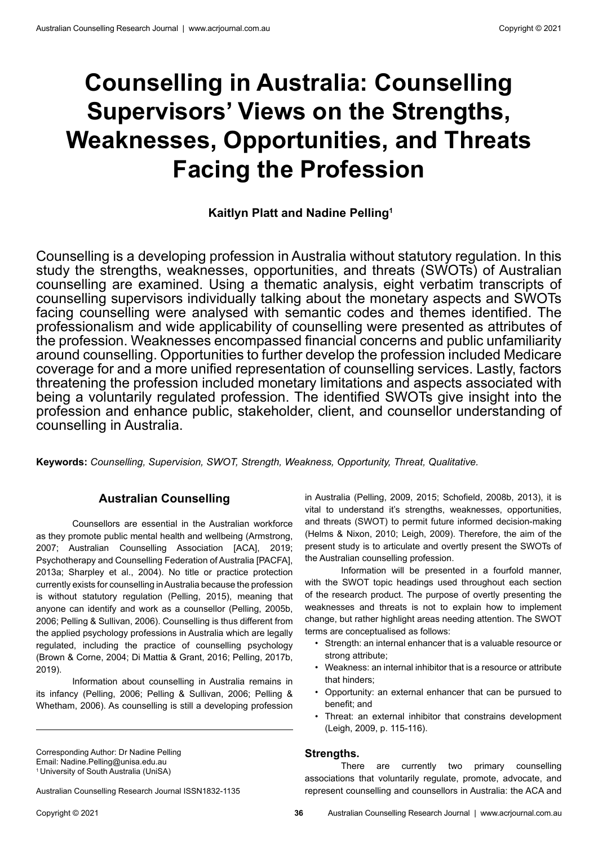# **Counselling in Australia: Counselling Supervisors' Views on the Strengths, Weaknesses, Opportunities, and Threats Facing the Profession**

# **Kaitlyn Platt and Nadine Pelling1**

Counselling is a developing profession in Australia without statutory regulation. In this study the strengths, weaknesses, opportunities, and threats (SWOTs) of Australian counselling are examined. Using a thematic analysis, eight verbatim transcripts of counselling supervisors individually talking about the monetary aspects and SWOTs facing counselling were analysed with semantic codes and themes identified. The professionalism and wide applicability of counselling were presented as attributes of the profession. Weaknesses encompassed financial concerns and public unfamiliarity around counselling. Opportunities to further develop the profession included Medicare coverage for and a more unified representation of counselling services. Lastly, factors threatening the profession included monetary limitations and aspects associated with being a voluntarily regulated profession. The identified SWOTs give insight into the profession and enhance public, stakeholder, client, and counsellor understanding of counselling in Australia.

**Keywords:** *Counselling, Supervision, SWOT, Strength, Weakness, Opportunity, Threat, Qualitative.*

# **Australian Counselling**

Counsellors are essential in the Australian workforce as they promote public mental health and wellbeing (Armstrong, 2007; Australian Counselling Association [ACA], 2019; Psychotherapy and Counselling Federation of Australia [PACFA], 2013a; Sharpley et al., 2004). No title or practice protection currently exists for counselling in Australia because the profession is without statutory regulation (Pelling, 2015), meaning that anyone can identify and work as a counsellor (Pelling, 2005b, 2006; Pelling & Sullivan, 2006). Counselling is thus different from the applied psychology professions in Australia which are legally regulated, including the practice of counselling psychology (Brown & Corne, 2004; Di Mattia & Grant, 2016; Pelling, 2017b, 2019).

Information about counselling in Australia remains in its infancy (Pelling, 2006; Pelling & Sullivan, 2006; Pelling & Whetham, 2006). As counselling is still a developing profession

Australian Counselling Research Journal ISSN1832-1135

in Australia (Pelling, 2009, 2015; Schofield, 2008b, 2013), it is vital to understand it's strengths, weaknesses, opportunities, and threats (SWOT) to permit future informed decision-making (Helms & Nixon, 2010; Leigh, 2009). Therefore, the aim of the present study is to articulate and overtly present the SWOTs of the Australian counselling profession.

Information will be presented in a fourfold manner, with the SWOT topic headings used throughout each section of the research product. The purpose of overtly presenting the weaknesses and threats is not to explain how to implement change, but rather highlight areas needing attention. The SWOT terms are conceptualised as follows:

- Strength: an internal enhancer that is a valuable resource or strong attribute;
- Weakness: an internal inhibitor that is a resource or attribute that hinders;
- Opportunity: an external enhancer that can be pursued to benefit; and
- Threat: an external inhibitor that constrains development (Leigh, 2009, p. 115-116).

## **Strengths.**

There are currently two primary counselling associations that voluntarily regulate, promote, advocate, and represent counselling and counsellors in Australia: the ACA and

Corresponding Author: Dr Nadine Pelling Email: Nadine.Pelling@unisa.edu.au 1 University of South Australia (UniSA)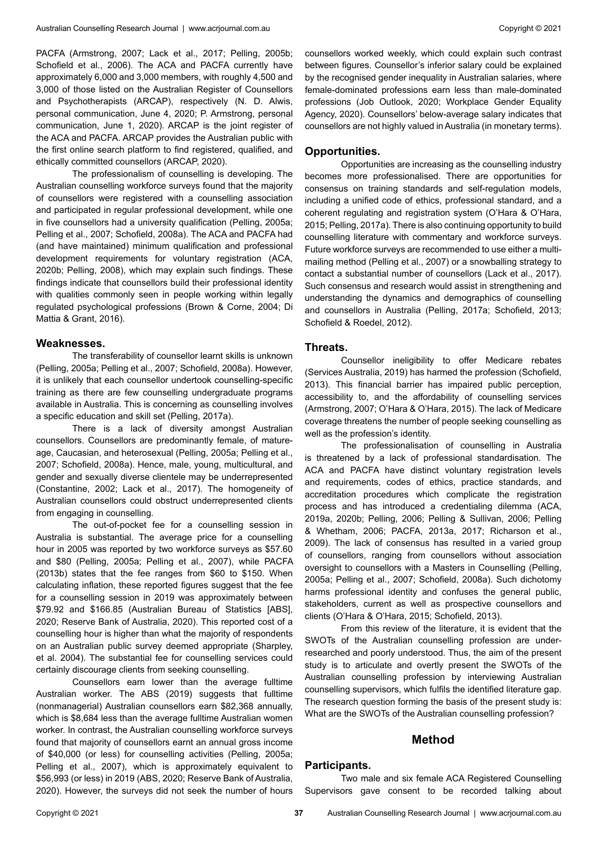PACFA (Armstrong, 2007; Lack et al., 2017; Pelling, 2005b; Schofield et al., 2006). The ACA and PACFA currently have approximately 6,000 and 3,000 members, with roughly 4,500 and 3,000 of those listed on the Australian Register of Counsellors and Psychotherapists (ARCAP), respectively (N. D. Alwis, personal communication, June 4, 2020; P. Armstrong, personal communication, June 1, 2020). ARCAP is the joint register of the ACA and PACFA. ARCAP provides the Australian public with the first online search platform to find registered, qualified, and ethically committed counsellors (ARCAP, 2020).

The professionalism of counselling is developing. The Australian counselling workforce surveys found that the majority of counsellors were registered with a counselling association and participated in regular professional development, while one in five counsellors had a university qualification (Pelling, 2005a; Pelling et al., 2007; Schofield, 2008a). The ACA and PACFA had (and have maintained) minimum qualification and professional development requirements for voluntary registration (ACA, 2020b; Pelling, 2008), which may explain such findings. These findings indicate that counsellors build their professional identity with qualities commonly seen in people working within legally regulated psychological professions (Brown & Corne, 2004; Di Mattia & Grant, 2016).

#### **Weaknesses.**

The transferability of counsellor learnt skills is unknown (Pelling, 2005a; Pelling et al., 2007; Schofield, 2008a). However, it is unlikely that each counsellor undertook counselling-specific training as there are few counselling undergraduate programs available in Australia. This is concerning as counselling involves a specific education and skill set (Pelling, 2017a).

There is a lack of diversity amongst Australian counsellors. Counsellors are predominantly female, of matureage, Caucasian, and heterosexual (Pelling, 2005a; Pelling et al., 2007; Schofield, 2008a). Hence, male, young, multicultural, and gender and sexually diverse clientele may be underrepresented (Constantine, 2002; Lack et al., 2017). The homogeneity of Australian counsellors could obstruct underrepresented clients from engaging in counselling.

The out-of-pocket fee for a counselling session in Australia is substantial. The average price for a counselling hour in 2005 was reported by two workforce surveys as \$57.60 and \$80 (Pelling, 2005a; Pelling et al., 2007), while PACFA (2013b) states that the fee ranges from \$60 to \$150. When calculating inflation, these reported figures suggest that the fee for a counselling session in 2019 was approximately between \$79.92 and \$166.85 (Australian Bureau of Statistics [ABS], 2020; Reserve Bank of Australia, 2020). This reported cost of a counselling hour is higher than what the majority of respondents on an Australian public survey deemed appropriate (Sharpley, et al. 2004). The substantial fee for counselling services could certainly discourage clients from seeking counselling.

Counsellors earn lower than the average fulltime Australian worker. The ABS (2019) suggests that fulltime (nonmanagerial) Australian counsellors earn \$82,368 annually, which is \$8,684 less than the average fulltime Australian women worker. In contrast, the Australian counselling workforce surveys found that majority of counsellors earnt an annual gross income of \$40,000 (or less) for counselling activities (Pelling, 2005a; Pelling et al., 2007), which is approximately equivalent to \$56,993 (or less) in 2019 (ABS, 2020; Reserve Bank of Australia, 2020). However, the surveys did not seek the number of hours

counsellors worked weekly, which could explain such contrast between figures. Counsellor's inferior salary could be explained by the recognised gender inequality in Australian salaries, where female-dominated professions earn less than male-dominated professions (Job Outlook, 2020; Workplace Gender Equality Agency, 2020). Counsellors' below-average salary indicates that counsellors are not highly valued in Australia (in monetary terms).

#### **Opportunities.**

Opportunities are increasing as the counselling industry becomes more professionalised. There are opportunities for consensus on training standards and self-regulation models, including a unified code of ethics, professional standard, and a coherent regulating and registration system (O'Hara & O'Hara, 2015; Pelling, 2017a). There is also continuing opportunity to build counselling literature with commentary and workforce surveys. Future workforce surveys are recommended to use either a multimailing method (Pelling et al., 2007) or a snowballing strategy to contact a substantial number of counsellors (Lack et al., 2017). Such consensus and research would assist in strengthening and understanding the dynamics and demographics of counselling and counsellors in Australia (Pelling, 2017a; Schofield, 2013; Schofield & Roedel, 2012).

#### **Threats.**

Counsellor ineligibility to offer Medicare rebates (Services Australia, 2019) has harmed the profession (Schofield, 2013). This financial barrier has impaired public perception, accessibility to, and the affordability of counselling services (Armstrong, 2007; O'Hara & O'Hara, 2015). The lack of Medicare coverage threatens the number of people seeking counselling as well as the profession's identity.

The professionalisation of counselling in Australia is threatened by a lack of professional standardisation. The ACA and PACFA have distinct voluntary registration levels and requirements, codes of ethics, practice standards, and accreditation procedures which complicate the registration process and has introduced a credentialing dilemma (ACA, 2019a, 2020b; Pelling, 2006; Pelling & Sullivan, 2006; Pelling & Whetham, 2006; PACFA, 2013a, 2017; Richarson et al., 2009). The lack of consensus has resulted in a varied group of counsellors, ranging from counsellors without association oversight to counsellors with a Masters in Counselling (Pelling, 2005a; Pelling et al., 2007; Schofield, 2008a). Such dichotomy harms professional identity and confuses the general public, stakeholders, current as well as prospective counsellors and clients (O'Hara & O'Hara, 2015; Schofield, 2013).

From this review of the literature, it is evident that the SWOTs of the Australian counselling profession are underresearched and poorly understood. Thus, the aim of the present study is to articulate and overtly present the SWOTs of the Australian counselling profession by interviewing Australian counselling supervisors, which fulfils the identified literature gap. The research question forming the basis of the present study is: What are the SWOTs of the Australian counselling profession?

## **Method**

#### **Participants.**

Two male and six female ACA Registered Counselling Supervisors gave consent to be recorded talking about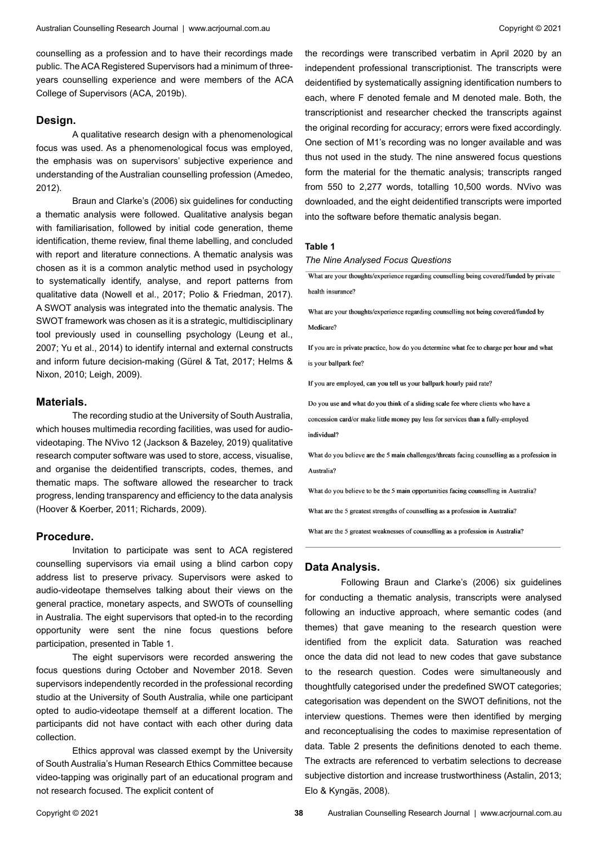counselling as a profession and to have their recordings made public. The ACA Registered Supervisors had a minimum of threeyears counselling experience and were members of the ACA College of Supervisors (ACA, 2019b).

#### **Design.**

A qualitative research design with a phenomenological focus was used. As a phenomenological focus was employed, the emphasis was on supervisors' subjective experience and understanding of the Australian counselling profession (Amedeo, 2012).

Braun and Clarke's (2006) six guidelines for conducting a thematic analysis were followed. Qualitative analysis began with familiarisation, followed by initial code generation, theme identification, theme review, final theme labelling, and concluded with report and literature connections. A thematic analysis was chosen as it is a common analytic method used in psychology to systematically identify, analyse, and report patterns from qualitative data (Nowell et al., 2017; Polio & Friedman, 2017). A SWOT analysis was integrated into the thematic analysis. The SWOT framework was chosen as it is a strategic, multidisciplinary tool previously used in counselling psychology (Leung et al., 2007; Yu et al., 2014) to identify internal and external constructs and inform future decision-making (Gürel & Tat, 2017; Helms & Nixon, 2010; Leigh, 2009).

#### **Materials.**

The recording studio at the University of South Australia, which houses multimedia recording facilities, was used for audiovideotaping. The NVivo 12 (Jackson & Bazeley, 2019) qualitative research computer software was used to store, access, visualise, and organise the deidentified transcripts, codes, themes, and thematic maps. The software allowed the researcher to track progress, lending transparency and efficiency to the data analysis (Hoover & Koerber, 2011; Richards, 2009).

#### **Procedure.**

Invitation to participate was sent to ACA registered counselling supervisors via email using a blind carbon copy address list to preserve privacy. Supervisors were asked to audio-videotape themselves talking about their views on the general practice, monetary aspects, and SWOTs of counselling in Australia. The eight supervisors that opted-in to the recording opportunity were sent the nine focus questions before participation, presented in Table 1.

The eight supervisors were recorded answering the focus questions during October and November 2018. Seven supervisors independently recorded in the professional recording studio at the University of South Australia, while one participant opted to audio-videotape themself at a different location. The participants did not have contact with each other during data collection.

Ethics approval was classed exempt by the University of South Australia's Human Research Ethics Committee because video-tapping was originally part of an educational program and not research focused. The explicit content of

the recordings were transcribed verbatim in April 2020 by an independent professional transcriptionist. The transcripts were deidentified by systematically assigning identification numbers to each, where F denoted female and M denoted male. Both, the transcriptionist and researcher checked the transcripts against the original recording for accuracy; errors were fixed accordingly. One section of M1's recording was no longer available and was thus not used in the study. The nine answered focus questions form the material for the thematic analysis; transcripts ranged from 550 to 2,277 words, totalling 10,500 words. NVivo was downloaded, and the eight deidentified transcripts were imported into the software before thematic analysis began.

#### **Table 1**

#### *The Nine Analysed Focus Questions*

What are your thoughts/experience regarding counselling being covered/funded by private health insurance?

What are your thoughts/experience regarding counselling not being covered/funded by Medicare?

If you are in private practice, how do you determine what fee to charge per hour and what is your ballpark fee?

If you are employed, can you tell us your ballpark hourly paid rate?

Do you use and what do you think of a sliding scale fee where clients who have a concession card/or make little money pay less for services than a fully-employed individual?

What do you believe are the 5 main challenges/threats facing counselling as a profession in Australia<sup>®</sup>

What do you believe to be the 5 main opportunities facing counselling in Australia?

What are the 5 greatest strengths of counselling as a profession in Australia?

What are the 5 greatest weaknesses of counselling as a profession in Australia?

#### **Data Analysis.**

Following Braun and Clarke's (2006) six guidelines for conducting a thematic analysis, transcripts were analysed following an inductive approach, where semantic codes (and themes) that gave meaning to the research question were identified from the explicit data. Saturation was reached once the data did not lead to new codes that gave substance to the research question. Codes were simultaneously and thoughtfully categorised under the predefined SWOT categories; categorisation was dependent on the SWOT definitions, not the interview questions. Themes were then identified by merging and reconceptualising the codes to maximise representation of data. Table 2 presents the definitions denoted to each theme. The extracts are referenced to verbatim selections to decrease subjective distortion and increase trustworthiness (Astalin, 2013; Elo & Kyngäs, 2008).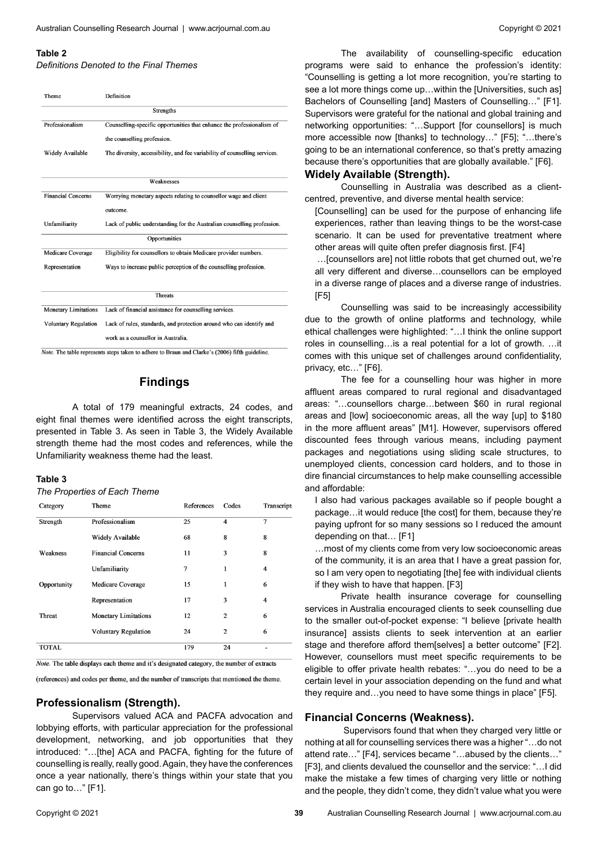#### **Table 2**

*Definitions Denoted to the Final Themes*

| Theme                       | Definition                                                                 |  |  |  |  |
|-----------------------------|----------------------------------------------------------------------------|--|--|--|--|
| <b>Strengths</b>            |                                                                            |  |  |  |  |
| Professionalism             | Counselling-specific opportunities that enhance the professionalism of     |  |  |  |  |
|                             | the counselling profession.                                                |  |  |  |  |
| <b>Widely Available</b>     | The diversity, accessibility, and fee variability of counselling services. |  |  |  |  |
|                             |                                                                            |  |  |  |  |
| Weaknesses                  |                                                                            |  |  |  |  |
| <b>Financial Concerns</b>   | Worrying monetary aspects relating to counsellor wage and client           |  |  |  |  |
|                             | outcome.                                                                   |  |  |  |  |
| Unfamiliarity               | Lack of public understanding for the Australian counselling profession.    |  |  |  |  |
| Opportunities               |                                                                            |  |  |  |  |
| Medicare Coverage           | Eligibility for counsellors to obtain Medicare provider numbers.           |  |  |  |  |
| Representation              | Ways to increase public perception of the counselling profession.          |  |  |  |  |
|                             |                                                                            |  |  |  |  |
| <b>Threats</b>              |                                                                            |  |  |  |  |
| <b>Monetary Limitations</b> | Lack of financial assistance for counselling services.                     |  |  |  |  |
| <b>Voluntary Regulation</b> | Lack of rules, standards, and protection around who can identify and       |  |  |  |  |
|                             | work as a counsellor in Australia.                                         |  |  |  |  |

Note. The table represents steps taken to adhere to Braun and Clarke's (2006) fifth guideline.

# **Findings**

A total of 179 meaningful extracts, 24 codes, and eight final themes were identified across the eight transcripts, presented in Table 3. As seen in Table 3, the Widely Available strength theme had the most codes and references, while the Unfamiliarity weakness theme had the least.

#### **Table 3**

*The Properties of Each Theme*

| Category      | Theme                       | References | Codes          | Transcript |
|---------------|-----------------------------|------------|----------------|------------|
| Strength      | Professionalism             | 25         | $\overline{4}$ | 7          |
|               | <b>Widely Available</b>     | 68         | 8              | 8          |
| Weakness      | <b>Financial Concerns</b>   | 11         | 3              | 8          |
|               | Unfamiliarity               | 7          | 1              | 4          |
| Opportunity   | Medicare Coverage           | 15         | 1              | 6          |
|               | Representation              | 17         | 3              | 4          |
| <b>Threat</b> | <b>Monetary Limitations</b> | 12         | $\mathbf{2}$   | 6          |
|               | <b>Voluntary Regulation</b> | 24         | $\overline{2}$ | 6          |
| <b>TOTAL</b>  |                             | 179        | 24             |            |

Note. The table displays each theme and it's designated category, the number of extracts

(references) and codes per theme, and the number of transcripts that mentioned the theme.

# **Professionalism (Strength).**

Supervisors valued ACA and PACFA advocation and lobbying efforts, with particular appreciation for the professional development, networking, and job opportunities that they introduced: "…[the] ACA and PACFA, fighting for the future of counselling is really, really good. Again, they have the conferences once a year nationally, there's things within your state that you can go to…" [F1].

The availability of counselling-specific education programs were said to enhance the profession's identity: "Counselling is getting a lot more recognition, you're starting to see a lot more things come up...within the [Universities, such as] Bachelors of Counselling [and] Masters of Counselling…" [F1]. Supervisors were grateful for the national and global training and networking opportunities: "…Support [for counsellors] is much more accessible now [thanks] to technology…" [F5]; "…there's going to be an international conference, so that's pretty amazing because there's opportunities that are globally available." [F6].

#### **Widely Available (Strength).**

Counselling in Australia was described as a clientcentred, preventive, and diverse mental health service:

[Counselling] can be used for the purpose of enhancing life experiences, rather than leaving things to be the worst-case scenario. It can be used for preventative treatment where other areas will quite often prefer diagnosis first. [F4]

 …[counsellors are] not little robots that get churned out, we're all very different and diverse…counsellors can be employed in a diverse range of places and a diverse range of industries. [F5]

Counselling was said to be increasingly accessibility due to the growth of online platforms and technology, while ethical challenges were highlighted: "…I think the online support roles in counselling…is a real potential for a lot of growth. …it comes with this unique set of challenges around confidentiality, privacy, etc…" [F6].

The fee for a counselling hour was higher in more affluent areas compared to rural regional and disadvantaged areas: "…counsellors charge…between \$60 in rural regional areas and [low] socioeconomic areas, all the way [up] to \$180 in the more affluent areas" [M1]. However, supervisors offered discounted fees through various means, including payment packages and negotiations using sliding scale structures, to unemployed clients, concession card holders, and to those in dire financial circumstances to help make counselling accessible and affordable:

I also had various packages available so if people bought a package…it would reduce [the cost] for them, because they're paying upfront for so many sessions so I reduced the amount depending on that… [F1]

…most of my clients come from very low socioeconomic areas of the community, it is an area that I have a great passion for, so I am very open to negotiating [the] fee with individual clients if they wish to have that happen. [F3]

Private health insurance coverage for counselling services in Australia encouraged clients to seek counselling due to the smaller out-of-pocket expense: "I believe [private health insurance] assists clients to seek intervention at an earlier stage and therefore afford them[selves] a better outcome" [F2]. However, counsellors must meet specific requirements to be eligible to offer private health rebates: "…you do need to be a certain level in your association depending on the fund and what they require and…you need to have some things in place" [F5].

#### **Financial Concerns (Weakness).**

 Supervisors found that when they charged very little or nothing at all for counselling services there was a higher "…do not attend rate…" [F4], services became "…abused by the clients…" [F3], and clients devalued the counsellor and the service: "…I did make the mistake a few times of charging very little or nothing and the people, they didn't come, they didn't value what you were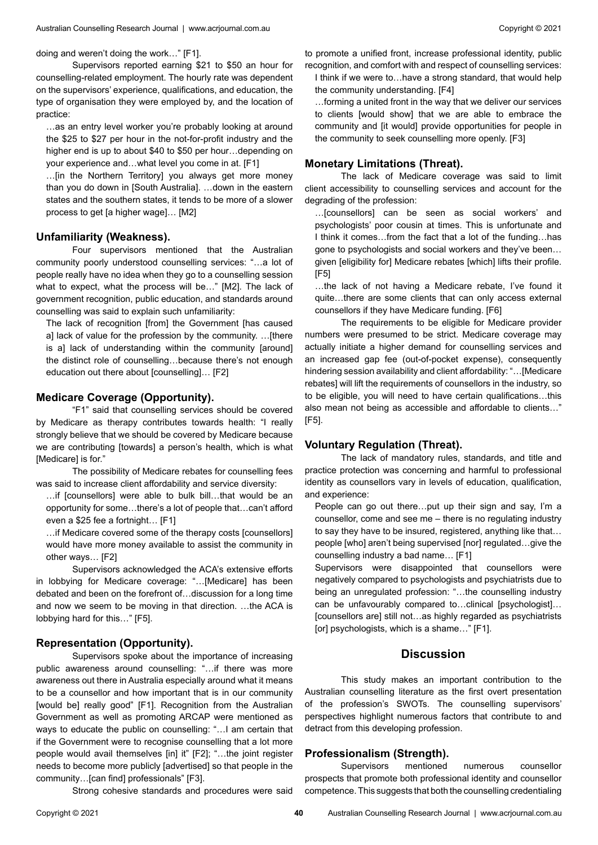doing and weren't doing the work…" [F1].

Supervisors reported earning \$21 to \$50 an hour for counselling-related employment. The hourly rate was dependent on the supervisors' experience, qualifications, and education, the type of organisation they were employed by, and the location of practice:

…as an entry level worker you're probably looking at around the \$25 to \$27 per hour in the not-for-profit industry and the higher end is up to about \$40 to \$50 per hour... depending on your experience and…what level you come in at. [F1]

…[in the Northern Territory] you always get more money than you do down in [South Australia]. …down in the eastern states and the southern states, it tends to be more of a slower process to get [a higher wage]… [M2]

# **Unfamiliarity (Weakness).**

Four supervisors mentioned that the Australian community poorly understood counselling services: "…a lot of people really have no idea when they go to a counselling session what to expect, what the process will be…" [M2]. The lack of government recognition, public education, and standards around counselling was said to explain such unfamiliarity:

The lack of recognition [from] the Government [has caused a] lack of value for the profession by the community. …[there is a] lack of understanding within the community [around] the distinct role of counselling…because there's not enough education out there about [counselling]… [F2]

#### **Medicare Coverage (Opportunity).**

"F1" said that counselling services should be covered by Medicare as therapy contributes towards health: "I really strongly believe that we should be covered by Medicare because we are contributing [towards] a person's health, which is what [Medicare] is for."

The possibility of Medicare rebates for counselling fees was said to increase client affordability and service diversity:

…if [counsellors] were able to bulk bill…that would be an opportunity for some…there's a lot of people that…can't afford even a \$25 fee a fortnight… [F1]

…if Medicare covered some of the therapy costs [counsellors] would have more money available to assist the community in other ways… [F2]

Supervisors acknowledged the ACA's extensive efforts in lobbying for Medicare coverage: "…[Medicare] has been debated and been on the forefront of…discussion for a long time and now we seem to be moving in that direction. …the ACA is lobbying hard for this…" [F5].

## **Representation (Opportunity).**

Supervisors spoke about the importance of increasing public awareness around counselling: "…if there was more awareness out there in Australia especially around what it means to be a counsellor and how important that is in our community [would be] really good" [F1]. Recognition from the Australian Government as well as promoting ARCAP were mentioned as ways to educate the public on counselling: "…I am certain that if the Government were to recognise counselling that a lot more people would avail themselves [in] it" [F2]; "…the joint register needs to become more publicly [advertised] so that people in the community…[can find] professionals" [F3].

Strong cohesive standards and procedures were said

to promote a unified front, increase professional identity, public recognition, and comfort with and respect of counselling services:

I think if we were to…have a strong standard, that would help the community understanding. [F4]

…forming a united front in the way that we deliver our services to clients [would show] that we are able to embrace the community and [it would] provide opportunities for people in the community to seek counselling more openly. [F3]

# **Monetary Limitations (Threat).**

The lack of Medicare coverage was said to limit client accessibility to counselling services and account for the degrading of the profession:

…[counsellors] can be seen as social workers' and psychologists' poor cousin at times. This is unfortunate and I think it comes…from the fact that a lot of the funding…has gone to psychologists and social workers and they've been… given [eligibility for] Medicare rebates [which] lifts their profile. [F5]

…the lack of not having a Medicare rebate, I've found it quite…there are some clients that can only access external counsellors if they have Medicare funding. [F6]

The requirements to be eligible for Medicare provider numbers were presumed to be strict. Medicare coverage may actually initiate a higher demand for counselling services and an increased gap fee (out-of-pocket expense), consequently hindering session availability and client affordability: "…[Medicare rebates] will lift the requirements of counsellors in the industry, so to be eligible, you will need to have certain qualifications…this also mean not being as accessible and affordable to clients…" [F5].

#### **Voluntary Regulation (Threat).**

The lack of mandatory rules, standards, and title and practice protection was concerning and harmful to professional identity as counsellors vary in levels of education, qualification, and experience:

People can go out there…put up their sign and say, I'm a counsellor, come and see me – there is no regulating industry to say they have to be insured, registered, anything like that… people [who] aren't being supervised [nor] regulated…give the counselling industry a bad name… [F1]

Supervisors were disappointed that counsellors were negatively compared to psychologists and psychiatrists due to being an unregulated profession: "…the counselling industry can be unfavourably compared to…clinical [psychologist]… [counsellors are] still not…as highly regarded as psychiatrists [or] psychologists, which is a shame..." [F1].

# **Discussion**

This study makes an important contribution to the Australian counselling literature as the first overt presentation of the profession's SWOTs. The counselling supervisors' perspectives highlight numerous factors that contribute to and detract from this developing profession.

#### **Professionalism (Strength).**

Supervisors mentioned numerous counsellor prospects that promote both professional identity and counsellor competence. This suggests that both the counselling credentialing

**40**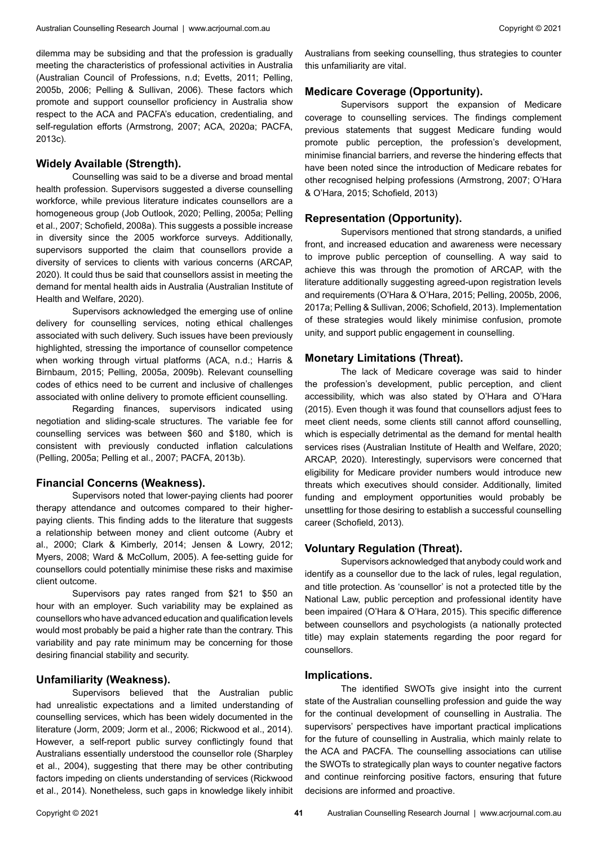dilemma may be subsiding and that the profession is gradually meeting the characteristics of professional activities in Australia (Australian Council of Professions, n.d; Evetts, 2011; Pelling, 2005b, 2006; Pelling & Sullivan, 2006). These factors which promote and support counsellor proficiency in Australia show respect to the ACA and PACFA's education, credentialing, and self-regulation efforts (Armstrong, 2007; ACA, 2020a; PACFA, 2013c).

#### **Widely Available (Strength).**

Counselling was said to be a diverse and broad mental health profession. Supervisors suggested a diverse counselling workforce, while previous literature indicates counsellors are a homogeneous group (Job Outlook, 2020; Pelling, 2005a; Pelling et al., 2007; Schofield, 2008a). This suggests a possible increase in diversity since the 2005 workforce surveys. Additionally, supervisors supported the claim that counsellors provide a diversity of services to clients with various concerns (ARCAP, 2020). It could thus be said that counsellors assist in meeting the demand for mental health aids in Australia (Australian Institute of Health and Welfare, 2020).

Supervisors acknowledged the emerging use of online delivery for counselling services, noting ethical challenges associated with such delivery. Such issues have been previously highlighted, stressing the importance of counsellor competence when working through virtual platforms (ACA, n.d.; Harris & Birnbaum, 2015; Pelling, 2005a, 2009b). Relevant counselling codes of ethics need to be current and inclusive of challenges associated with online delivery to promote efficient counselling.

Regarding finances, supervisors indicated using negotiation and sliding-scale structures. The variable fee for counselling services was between \$60 and \$180, which is consistent with previously conducted inflation calculations (Pelling, 2005a; Pelling et al., 2007; PACFA, 2013b).

#### **Financial Concerns (Weakness).**

Supervisors noted that lower-paying clients had poorer therapy attendance and outcomes compared to their higherpaying clients. This finding adds to the literature that suggests a relationship between money and client outcome (Aubry et al., 2000; Clark & Kimberly, 2014; Jensen & Lowry, 2012; Myers, 2008; Ward & McCollum, 2005). A fee-setting guide for counsellors could potentially minimise these risks and maximise client outcome.

Supervisors pay rates ranged from \$21 to \$50 an hour with an employer. Such variability may be explained as counsellors who have advanced education and qualification levels would most probably be paid a higher rate than the contrary. This variability and pay rate minimum may be concerning for those desiring financial stability and security.

# **Unfamiliarity (Weakness).**

Supervisors believed that the Australian public had unrealistic expectations and a limited understanding of counselling services, which has been widely documented in the literature (Jorm, 2009; Jorm et al., 2006; Rickwood et al., 2014). However, a self-report public survey conflictingly found that Australians essentially understood the counsellor role (Sharpley et al., 2004), suggesting that there may be other contributing factors impeding on clients understanding of services (Rickwood et al., 2014). Nonetheless, such gaps in knowledge likely inhibit

Australians from seeking counselling, thus strategies to counter this unfamiliarity are vital.

Copyright © 2021

## **Medicare Coverage (Opportunity).**

Supervisors support the expansion of Medicare coverage to counselling services. The findings complement previous statements that suggest Medicare funding would promote public perception, the profession's development, minimise financial barriers, and reverse the hindering effects that have been noted since the introduction of Medicare rebates for other recognised helping professions (Armstrong, 2007; O'Hara & O'Hara, 2015; Schofield, 2013)

#### **Representation (Opportunity).**

Supervisors mentioned that strong standards, a unified front, and increased education and awareness were necessary to improve public perception of counselling. A way said to achieve this was through the promotion of ARCAP, with the literature additionally suggesting agreed-upon registration levels and requirements (O'Hara & O'Hara, 2015; Pelling, 2005b, 2006, 2017a; Pelling & Sullivan, 2006; Schofield, 2013). Implementation of these strategies would likely minimise confusion, promote unity, and support public engagement in counselling.

## **Monetary Limitations (Threat).**

The lack of Medicare coverage was said to hinder the profession's development, public perception, and client accessibility, which was also stated by O'Hara and O'Hara (2015). Even though it was found that counsellors adjust fees to meet client needs, some clients still cannot afford counselling, which is especially detrimental as the demand for mental health services rises (Australian Institute of Health and Welfare, 2020; ARCAP, 2020). Interestingly, supervisors were concerned that eligibility for Medicare provider numbers would introduce new threats which executives should consider. Additionally, limited funding and employment opportunities would probably be unsettling for those desiring to establish a successful counselling career (Schofield, 2013).

#### **Voluntary Regulation (Threat).**

Supervisors acknowledged that anybody could work and identify as a counsellor due to the lack of rules, legal regulation, and title protection. As 'counsellor' is not a protected title by the National Law, public perception and professional identity have been impaired (O'Hara & O'Hara, 2015). This specific difference between counsellors and psychologists (a nationally protected title) may explain statements regarding the poor regard for counsellors.

#### **Implications.**

The identified SWOTs give insight into the current state of the Australian counselling profession and guide the way for the continual development of counselling in Australia. The supervisors' perspectives have important practical implications for the future of counselling in Australia, which mainly relate to the ACA and PACFA. The counselling associations can utilise the SWOTs to strategically plan ways to counter negative factors and continue reinforcing positive factors, ensuring that future decisions are informed and proactive.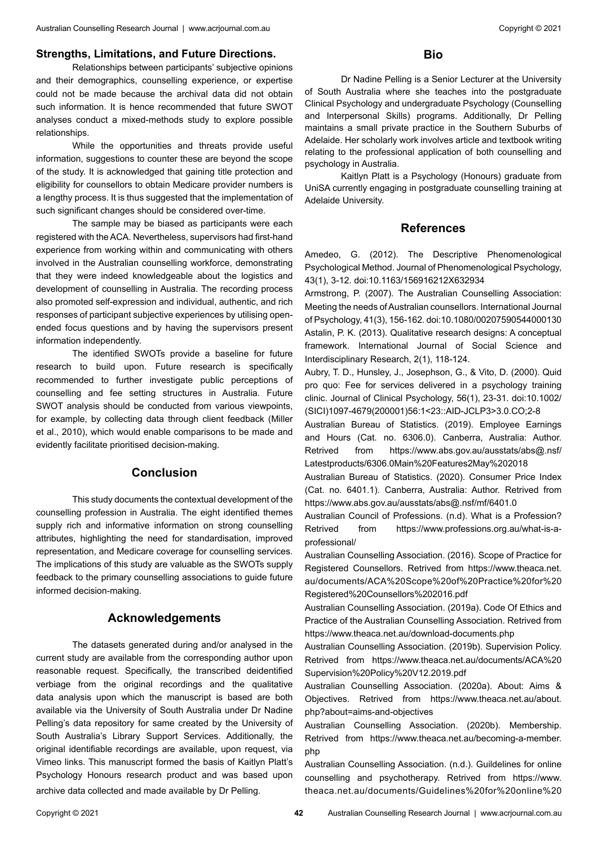## **Strengths, Limitations, and Future Directions.**

Relationships between participants' subjective opinions and their demographics, counselling experience, or expertise could not be made because the archival data did not obtain such information. It is hence recommended that future SWOT analyses conduct a mixed-methods study to explore possible relationships.

While the opportunities and threats provide useful information, suggestions to counter these are beyond the scope of the study. It is acknowledged that gaining title protection and eligibility for counsellors to obtain Medicare provider numbers is a lengthy process. It is thus suggested that the implementation of such significant changes should be considered over-time.

The sample may be biased as participants were each registered with the ACA. Nevertheless, supervisors had first-hand experience from working within and communicating with others involved in the Australian counselling workforce, demonstrating that they were indeed knowledgeable about the logistics and development of counselling in Australia. The recording process also promoted self-expression and individual, authentic, and rich responses of participant subjective experiences by utilising openended focus questions and by having the supervisors present information independently.

The identified SWOTs provide a baseline for future research to build upon. Future research is specifically recommended to further investigate public perceptions of counselling and fee setting structures in Australia. Future SWOT analysis should be conducted from various viewpoints, for example, by collecting data through client feedback (Miller et al., 2010), which would enable comparisons to be made and evidently facilitate prioritised decision-making.

# **Conclusion**

This study documents the contextual development of the counselling profession in Australia. The eight identified themes supply rich and informative information on strong counselling attributes, highlighting the need for standardisation, improved representation, and Medicare coverage for counselling services. The implications of this study are valuable as the SWOTs supply feedback to the primary counselling associations to guide future informed decision-making.

# **Acknowledgements**

The datasets generated during and/or analysed in the current study are available from the corresponding author upon reasonable request. Specifically, the transcribed deidentified verbiage from the original recordings and the qualitative data analysis upon which the manuscript is based are both available via the University of South Australia under Dr Nadine Pelling's data repository for same created by the University of South Australia's Library Support Services. Additionally, the original identifiable recordings are available, upon request, via Vimeo links. This manuscript formed the basis of Kaitlyn Platt's Psychology Honours research product and was based upon archive data collected and made available by Dr Pelling.

# **Bio**

Dr Nadine Pelling is a Senior Lecturer at the University of South Australia where she teaches into the postgraduate Clinical Psychology and undergraduate Psychology (Counselling and Interpersonal Skills) programs. Additionally, Dr Pelling maintains a small private practice in the Southern Suburbs of Adelaide. Her scholarly work involves article and textbook writing relating to the professional application of both counselling and psychology in Australia.

Kaitlyn Platt is a Psychology (Honours) graduate from UniSA currently engaging in postgraduate counselling training at Adelaide University.

## **References**

Amedeo, G. (2012). The Descriptive Phenomenological Psychological Method. Journal of Phenomenological Psychology, 43(1), 3-12. doi:10.1163/156916212X632934

Armstrong, P. (2007). The Australian Counselling Association: Meeting the needs of Australian counsellors. International Journal of Psychology, 41(3), 156-162. doi:10.1080/00207590544000130 Astalin, P. K. (2013). Qualitative research designs: A conceptual framework. International Journal of Social Science and Interdisciplinary Research, 2(1), 118-124.

Aubry, T. D., Hunsley, J., Josephson, G., & Vito, D. (2000). Quid pro quo: Fee for services delivered in a psychology training clinic. Journal of Clinical Psychology, 56(1), 23-31. doi:10.1002/ (SICI)1097-4679(200001)56:1<23::AID-JCLP3>3.0.CO;2-8

Australian Bureau of Statistics. (2019). Employee Earnings and Hours (Cat. no. 6306.0). Canberra, Australia: Author. Retrived from https://www.abs.gov.au/ausstats/abs@.nsf/ Latestproducts/6306.0Main%20Features2May%202018

Australian Bureau of Statistics. (2020). Consumer Price Index (Cat. no. 6401.1). Canberra, Australia: Author. Retrived from https://www.abs.gov.au/ausstats/abs@.nsf/mf/6401.0

Australian Council of Professions. (n.d). What is a Profession? Retrived from https://www.professions.org.au/what-is-aprofessional/

Australian Counselling Association. (2016). Scope of Practice for Registered Counsellors. Retrived from https://www.theaca.net. au/documents/ACA%20Scope%20of%20Practice%20for%20 Registered%20Counsellors%202016.pdf

Australian Counselling Association. (2019a). Code Of Ethics and Practice of the Australian Counselling Association. Retrived from https://www.theaca.net.au/download-documents.php

Australian Counselling Association. (2019b). Supervision Policy. Retrived from https://www.theaca.net.au/documents/ACA%20 Supervision%20Policy%20V12.2019.pdf

Australian Counselling Association. (2020a). About: Aims & Objectives. Retrived from https://www.theaca.net.au/about. php?about=aims-and-objectives

Australian Counselling Association. (2020b). Membership. Retrived from https://www.theaca.net.au/becoming-a-member. php

Australian Counselling Association. (n.d.). Guildelines for online counselling and psychotherapy. Retrived from https://www. theaca.net.au/documents/Guidelines%20for%20online%20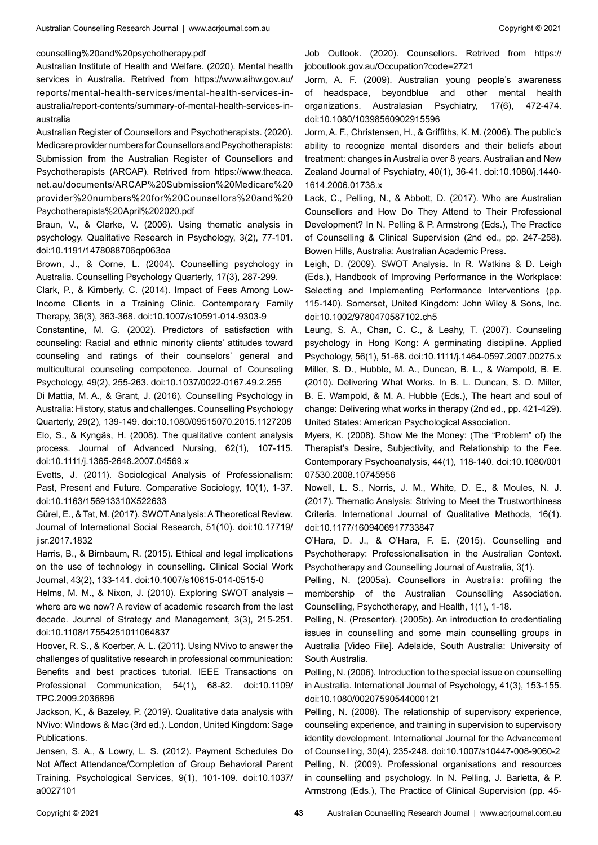#### counselling%20and%20psychotherapy.pdf

Australian Institute of Health and Welfare. (2020). Mental health services in Australia. Retrived from https://www.aihw.gov.au/ reports/mental-health-services/mental-health-services-inaustralia/report-contents/summary-of-mental-health-services-inaustralia

Australian Register of Counsellors and Psychotherapists. (2020). Medicare provider numbers for Counsellors and Psychotherapists: Submission from the Australian Register of Counsellors and Psychotherapists (ARCAP). Retrived from https://www.theaca. net.au/documents/ARCAP%20Submission%20Medicare%20 provider%20numbers%20for%20Counsellors%20and%20 Psychotherapists%20April%202020.pdf

Braun, V., & Clarke, V. (2006). Using thematic analysis in psychology. Qualitative Research in Psychology, 3(2), 77-101. doi:10.1191/1478088706qp063oa

Brown, J., & Corne, L. (2004). Counselling psychology in Australia. Counselling Psychology Quarterly, 17(3), 287-299.

Clark, P., & Kimberly, C. (2014). Impact of Fees Among Low-Income Clients in a Training Clinic. Contemporary Family Therapy, 36(3), 363-368. doi:10.1007/s10591-014-9303-9

Constantine, M. G. (2002). Predictors of satisfaction with counseling: Racial and ethnic minority clients' attitudes toward counseling and ratings of their counselors' general and multicultural counseling competence. Journal of Counseling Psychology, 49(2), 255-263. doi:10.1037/0022-0167.49.2.255

Di Mattia, M. A., & Grant, J. (2016). Counselling Psychology in Australia: History, status and challenges. Counselling Psychology Quarterly, 29(2), 139-149. doi:10.1080/09515070.2015.1127208 Elo, S., & Kyngäs, H. (2008). The qualitative content analysis process. Journal of Advanced Nursing, 62(1), 107-115. doi:10.1111/j.1365-2648.2007.04569.x

Evetts, J. (2011). Sociological Analysis of Professionalism: Past, Present and Future. Comparative Sociology, 10(1), 1-37. doi:10.1163/156913310X522633

Gürel, E., & Tat, M. (2017). SWOT Analysis: A Theoretical Review. Journal of International Social Research, 51(10). doi:10.17719/ jisr.2017.1832

Harris, B., & Birnbaum, R. (2015). Ethical and legal implications on the use of technology in counselling. Clinical Social Work Journal, 43(2), 133-141. doi:10.1007/s10615-014-0515-0

Helms, M. M., & Nixon, J. (2010). Exploring SWOT analysis – where are we now? A review of academic research from the last decade. Journal of Strategy and Management, 3(3), 215-251. doi:10.1108/17554251011064837

Hoover, R. S., & Koerber, A. L. (2011). Using NVivo to answer the challenges of qualitative research in professional communication: Benefits and best practices tutorial. IEEE Transactions on Professional Communication, 54(1), 68-82. doi:10.1109/ TPC.2009.2036896

Jackson, K., & Bazeley, P. (2019). Qualitative data analysis with NVivo: Windows & Mac (3rd ed.). London, United Kingdom: Sage Publications.

Jensen, S. A., & Lowry, L. S. (2012). Payment Schedules Do Not Affect Attendance/Completion of Group Behavioral Parent Training. Psychological Services, 9(1), 101-109. doi:10.1037/ a0027101

Job Outlook. (2020). Counsellors. Retrived from https:// joboutlook.gov.au/Occupation?code=2721

Jorm, A. F. (2009). Australian young people's awareness of headspace, beyondblue and other mental health organizations. Australasian Psychiatry, 17(6), 472-474. doi:10.1080/10398560902915596

Jorm, A. F., Christensen, H., & Griffiths, K. M. (2006). The public's ability to recognize mental disorders and their beliefs about treatment: changes in Australia over 8 years. Australian and New Zealand Journal of Psychiatry, 40(1), 36-41. doi:10.1080/j.1440- 1614.2006.01738.x

Lack, C., Pelling, N., & Abbott, D. (2017). Who are Australian Counsellors and How Do They Attend to Their Professional Development? In N. Pelling & P. Armstrong (Eds.), The Practice of Counselling & Clinical Supervision (2nd ed., pp. 247-258). Bowen Hills, Australia: Australian Academic Press.

Leigh, D. (2009). SWOT Analysis. In R. Watkins & D. Leigh (Eds.), Handbook of Improving Performance in the Workplace: Selecting and Implementing Performance Interventions (pp. 115-140). Somerset, United Kingdom: John Wiley & Sons, Inc. doi:10.1002/9780470587102.ch5

Leung, S. A., Chan, C. C., & Leahy, T. (2007). Counseling psychology in Hong Kong: A germinating discipline. Applied Psychology, 56(1), 51-68. doi:10.1111/j.1464-0597.2007.00275.x Miller, S. D., Hubble, M. A., Duncan, B. L., & Wampold, B. E. (2010). Delivering What Works. In B. L. Duncan, S. D. Miller, B. E. Wampold, & M. A. Hubble (Eds.), The heart and soul of change: Delivering what works in therapy (2nd ed., pp. 421-429). United States: American Psychological Association.

Myers, K. (2008). Show Me the Money: (The "Problem" of) the Therapist's Desire, Subjectivity, and Relationship to the Fee. Contemporary Psychoanalysis, 44(1), 118-140. doi:10.1080/001 07530.2008.10745956

Nowell, L. S., Norris, J. M., White, D. E., & Moules, N. J. (2017). Thematic Analysis: Striving to Meet the Trustworthiness Criteria. International Journal of Qualitative Methods, 16(1). doi:10.1177/1609406917733847

O'Hara, D. J., & O'Hara, F. E. (2015). Counselling and Psychotherapy: Professionalisation in the Australian Context. Psychotherapy and Counselling Journal of Australia, 3(1).

Pelling, N. (2005a). Counsellors in Australia: profiling the membership of the Australian Counselling Association. Counselling, Psychotherapy, and Health, 1(1), 1-18.

Pelling, N. (Presenter). (2005b). An introduction to credentialing issues in counselling and some main counselling groups in Australia [Video File]. Adelaide, South Australia: University of South Australia.

Pelling, N. (2006). Introduction to the special issue on counselling in Australia. International Journal of Psychology, 41(3), 153-155. doi:10.1080/00207590544000121

Pelling, N. (2008). The relationship of supervisory experience, counseling experience, and training in supervision to supervisory identity development. International Journal for the Advancement of Counselling, 30(4), 235-248. doi:10.1007/s10447-008-9060-2 Pelling, N. (2009). Professional organisations and resources in counselling and psychology. In N. Pelling, J. Barletta, & P. Armstrong (Eds.), The Practice of Clinical Supervision (pp. 45